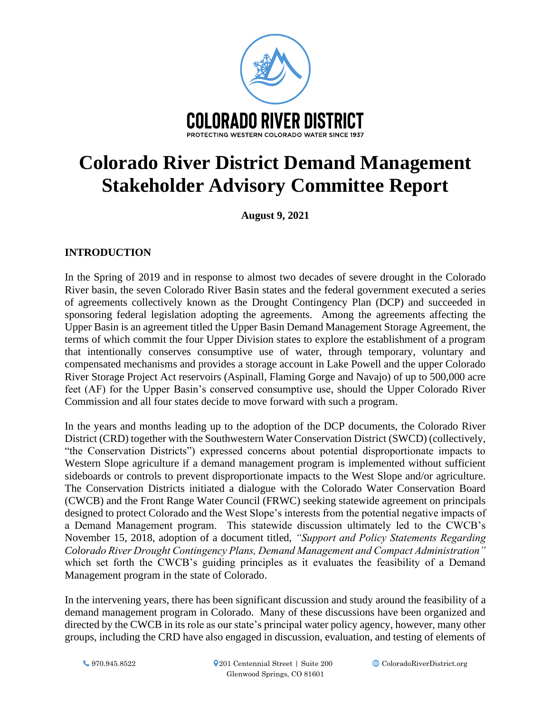

# **Colorado River District Demand Management Stakeholder Advisory Committee Report**

**August 9, 2021**

# **INTRODUCTION**

In the Spring of 2019 and in response to almost two decades of severe drought in the Colorado River basin, the seven Colorado River Basin states and the federal government executed a series of agreements collectively known as the Drought Contingency Plan (DCP) and succeeded in sponsoring federal legislation adopting the agreements. Among the agreements affecting the Upper Basin is an agreement titled the Upper Basin Demand Management Storage Agreement, the terms of which commit the four Upper Division states to explore the establishment of a program that intentionally conserves consumptive use of water, through temporary, voluntary and compensated mechanisms and provides a storage account in Lake Powell and the upper Colorado River Storage Project Act reservoirs (Aspinall, Flaming Gorge and Navajo) of up to 500,000 acre feet (AF) for the Upper Basin's conserved consumptive use, should the Upper Colorado River Commission and all four states decide to move forward with such a program.

In the years and months leading up to the adoption of the DCP documents, the Colorado River District (CRD) together with the Southwestern Water Conservation District (SWCD) (collectively, "the Conservation Districts") expressed concerns about potential disproportionate impacts to Western Slope agriculture if a demand management program is implemented without sufficient sideboards or controls to prevent disproportionate impacts to the West Slope and/or agriculture. The Conservation Districts initiated a dialogue with the Colorado Water Conservation Board (CWCB) and the Front Range Water Council (FRWC) seeking statewide agreement on principals designed to protect Colorado and the West Slope's interests from the potential negative impacts of a Demand Management program. This statewide discussion ultimately led to the CWCB's November 15, 2018, adoption of a document titled, *"Support and Policy Statements Regarding Colorado River Drought Contingency Plans, Demand Management and Compact Administration"* which set forth the CWCB's guiding principles as it evaluates the feasibility of a Demand Management program in the state of Colorado.

In the intervening years, there has been significant discussion and study around the feasibility of a demand management program in Colorado. Many of these discussions have been organized and directed by the CWCB in its role as our state's principal water policy agency, however, many other groups, including the CRD have also engaged in discussion, evaluation, and testing of elements of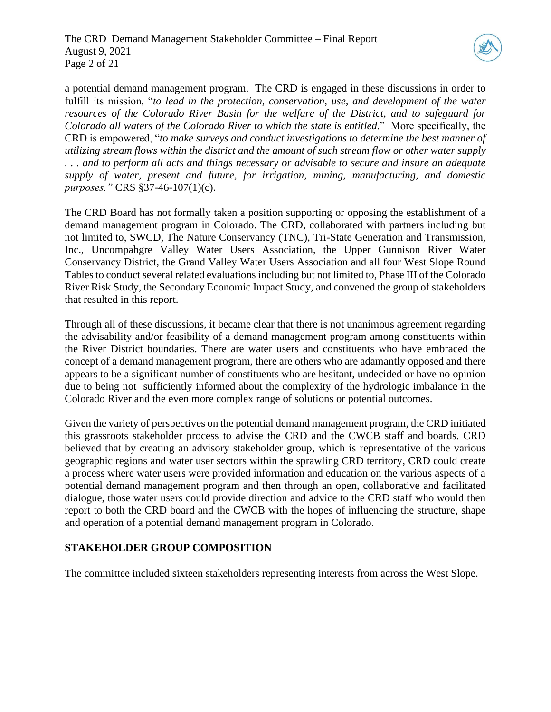

a potential demand management program. The CRD is engaged in these discussions in order to fulfill its mission, "*to lead in the protection, conservation, use, and development of the water resources of the Colorado River Basin for the welfare of the District, and to safeguard for Colorado all waters of the Colorado River to which the state is entitled*." More specifically, the CRD is empowered, "*to make surveys and conduct investigations to determine the best manner of utilizing stream flows within the district and the amount of such stream flow or other water supply . . . and to perform all acts and things necessary or advisable to secure and insure an adequate supply of water, present and future, for irrigation, mining, manufacturing, and domestic purposes."* CRS §37-46-107(1)(c).

The CRD Board has not formally taken a position supporting or opposing the establishment of a demand management program in Colorado. The CRD, collaborated with partners including but not limited to, SWCD, The Nature Conservancy (TNC), Tri-State Generation and Transmission, Inc., Uncompahgre Valley Water Users Association, the Upper Gunnison River Water Conservancy District, the Grand Valley Water Users Association and all four West Slope Round Tables to conduct several related evaluations including but not limited to, Phase III of the Colorado River Risk Study, the Secondary Economic Impact Study, and convened the group of stakeholders that resulted in this report.

Through all of these discussions, it became clear that there is not unanimous agreement regarding the advisability and/or feasibility of a demand management program among constituents within the River District boundaries. There are water users and constituents who have embraced the concept of a demand management program, there are others who are adamantly opposed and there appears to be a significant number of constituents who are hesitant, undecided or have no opinion due to being not sufficiently informed about the complexity of the hydrologic imbalance in the Colorado River and the even more complex range of solutions or potential outcomes.

Given the variety of perspectives on the potential demand management program, the CRD initiated this grassroots stakeholder process to advise the CRD and the CWCB staff and boards. CRD believed that by creating an advisory stakeholder group, which is representative of the various geographic regions and water user sectors within the sprawling CRD territory, CRD could create a process where water users were provided information and education on the various aspects of a potential demand management program and then through an open, collaborative and facilitated dialogue, those water users could provide direction and advice to the CRD staff who would then report to both the CRD board and the CWCB with the hopes of influencing the structure, shape and operation of a potential demand management program in Colorado.

# **STAKEHOLDER GROUP COMPOSITION**

The committee included sixteen stakeholders representing interests from across the West Slope.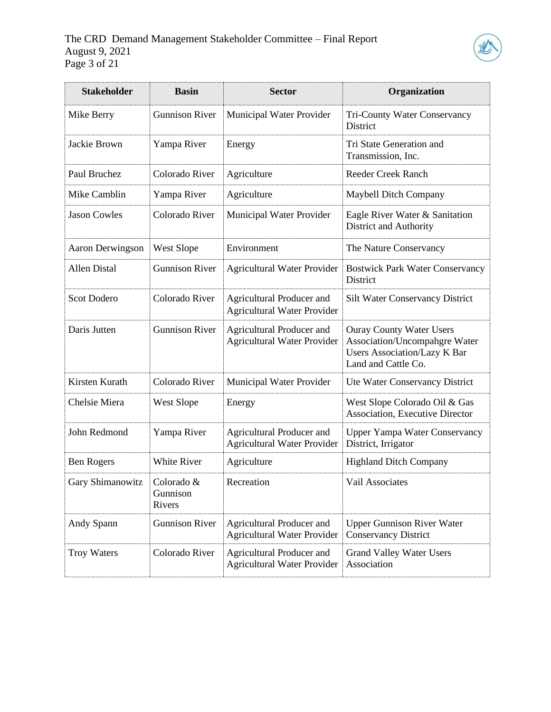

| <b>Stakeholder</b>  | <b>Basin</b>                     | <b>Sector</b>                                                   | Organization                                                                                                                          |  |
|---------------------|----------------------------------|-----------------------------------------------------------------|---------------------------------------------------------------------------------------------------------------------------------------|--|
| Mike Berry          | <b>Gunnison River</b>            | Municipal Water Provider                                        | Tri-County Water Conservancy<br><b>District</b>                                                                                       |  |
| Jackie Brown        | Yampa River                      | Energy                                                          | Tri State Generation and<br>Transmission, Inc.                                                                                        |  |
| Paul Bruchez        | Colorado River                   | Agriculture                                                     | <b>Reeder Creek Ranch</b>                                                                                                             |  |
| Mike Camblin        | Yampa River                      | Agriculture                                                     | <b>Maybell Ditch Company</b>                                                                                                          |  |
| <b>Jason Cowles</b> | Colorado River                   | Municipal Water Provider                                        | Eagle River Water & Sanitation<br>District and Authority                                                                              |  |
| Aaron Derwingson    | West Slope                       | Environment                                                     | The Nature Conservancy                                                                                                                |  |
| <b>Allen Distal</b> | <b>Gunnison River</b>            | <b>Agricultural Water Provider</b>                              | <b>Bostwick Park Water Conservancy</b><br>District                                                                                    |  |
| Scot Dodero         | Colorado River                   | Agricultural Producer and<br><b>Agricultural Water Provider</b> | <b>Silt Water Conservancy District</b>                                                                                                |  |
| Daris Jutten        | <b>Gunnison River</b>            | Agricultural Producer and<br><b>Agricultural Water Provider</b> | <b>Ouray County Water Users</b><br><b>Association/Uncompahgre Water</b><br><b>Users Association/Lazy K Bar</b><br>Land and Cattle Co. |  |
| Kirsten Kurath      | Colorado River                   | Municipal Water Provider                                        | Ute Water Conservancy District                                                                                                        |  |
| Chelsie Miera       | West Slope                       | Energy                                                          | West Slope Colorado Oil & Gas<br><b>Association, Executive Director</b>                                                               |  |
| John Redmond        | Yampa River                      | Agricultural Producer and<br><b>Agricultural Water Provider</b> | <b>Upper Yampa Water Conservancy</b><br>District, Irrigator                                                                           |  |
| <b>Ben Rogers</b>   | White River                      | Agriculture                                                     | <b>Highland Ditch Company</b>                                                                                                         |  |
| Gary Shimanowitz    | Colorado &<br>Gunnison<br>Rivers | Recreation                                                      | Vail Associates                                                                                                                       |  |
| Andy Spann          | <b>Gunnison River</b>            | Agricultural Producer and<br><b>Agricultural Water Provider</b> | <b>Upper Gunnison River Water</b><br><b>Conservancy District</b>                                                                      |  |
| <b>Troy Waters</b>  | Colorado River                   | Agricultural Producer and<br><b>Agricultural Water Provider</b> | <b>Grand Valley Water Users</b><br>Association                                                                                        |  |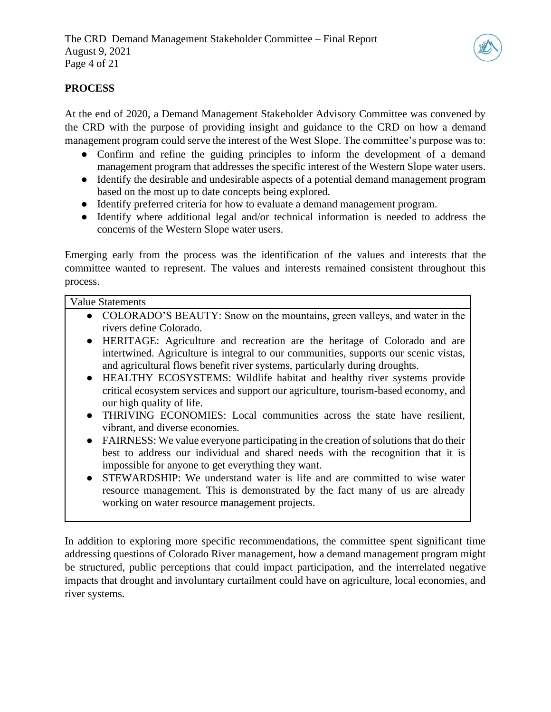

# **PROCESS**

At the end of 2020, a Demand Management Stakeholder Advisory Committee was convened by the CRD with the purpose of providing insight and guidance to the CRD on how a demand management program could serve the interest of the West Slope. The committee's purpose was to:

- Confirm and refine the guiding principles to inform the development of a demand management program that addresses the specific interest of the Western Slope water users.
- Identify the desirable and undesirable aspects of a potential demand management program based on the most up to date concepts being explored.
- Identify preferred criteria for how to evaluate a demand management program.
- Identify where additional legal and/or technical information is needed to address the concerns of the Western Slope water users.

Emerging early from the process was the identification of the values and interests that the committee wanted to represent. The values and interests remained consistent throughout this process.

#### Value Statements

- COLORADO'S BEAUTY: Snow on the mountains, green valleys, and water in the rivers define Colorado.
- HERITAGE: Agriculture and recreation are the heritage of Colorado and are intertwined. Agriculture is integral to our communities, supports our scenic vistas, and agricultural flows benefit river systems, particularly during droughts.
- HEALTHY ECOSYSTEMS: Wildlife habitat and healthy river systems provide critical ecosystem services and support our agriculture, tourism-based economy, and our high quality of life.
- THRIVING ECONOMIES: Local communities across the state have resilient, vibrant, and diverse economies.
- FAIRNESS: We value everyone participating in the creation of solutions that do their best to address our individual and shared needs with the recognition that it is impossible for anyone to get everything they want.
- STEWARDSHIP: We understand water is life and are committed to wise water resource management. This is demonstrated by the fact many of us are already working on water resource management projects.

In addition to exploring more specific recommendations, the committee spent significant time addressing questions of Colorado River management, how a demand management program might be structured, public perceptions that could impact participation, and the interrelated negative impacts that drought and involuntary curtailment could have on agriculture, local economies, and river systems.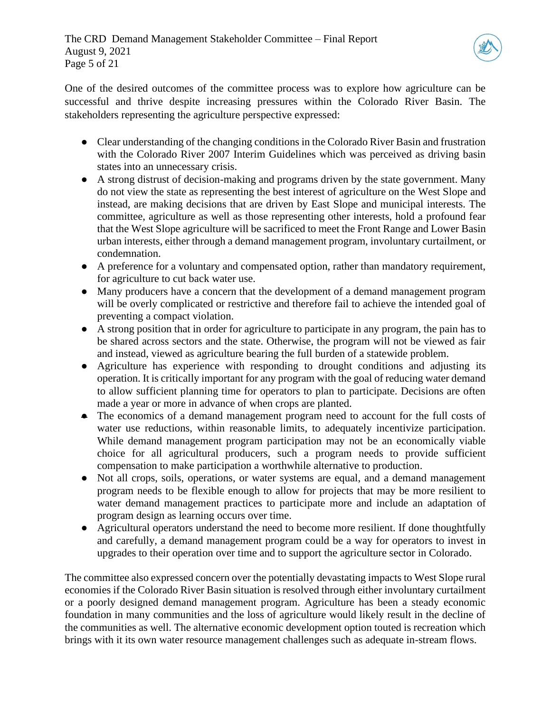

One of the desired outcomes of the committee process was to explore how agriculture can be successful and thrive despite increasing pressures within the Colorado River Basin. The stakeholders representing the agriculture perspective expressed:

- Clear understanding of the changing conditions in the Colorado River Basin and frustration with the Colorado River 2007 Interim Guidelines which was perceived as driving basin states into an unnecessary crisis.
- A strong distrust of decision-making and programs driven by the state government. Many do not view the state as representing the best interest of agriculture on the West Slope and instead, are making decisions that are driven by East Slope and municipal interests. The committee, agriculture as well as those representing other interests, hold a profound fear that the West Slope agriculture will be sacrificed to meet the Front Range and Lower Basin urban interests, either through a demand management program, involuntary curtailment, or condemnation.
- A preference for a voluntary and compensated option, rather than mandatory requirement, for agriculture to cut back water use.
- Many producers have a concern that the development of a demand management program will be overly complicated or restrictive and therefore fail to achieve the intended goal of preventing a compact violation.
- A strong position that in order for agriculture to participate in any program, the pain has to be shared across sectors and the state. Otherwise, the program will not be viewed as fair and instead, viewed as agriculture bearing the full burden of a statewide problem.
- Agriculture has experience with responding to drought conditions and adjusting its operation. It is critically important for any program with the goal of reducing water demand to allow sufficient planning time for operators to plan to participate. Decisions are often made a year or more in advance of when crops are planted.
- The economics of a demand management program need to account for the full costs of water use reductions, within reasonable limits, to adequately incentivize participation. While demand management program participation may not be an economically viable choice for all agricultural producers, such a program needs to provide sufficient compensation to make participation a worthwhile alternative to production.
- Not all crops, soils, operations, or water systems are equal, and a demand management program needs to be flexible enough to allow for projects that may be more resilient to water demand management practices to participate more and include an adaptation of program design as learning occurs over time.
- Agricultural operators understand the need to become more resilient. If done thoughtfully and carefully, a demand management program could be a way for operators to invest in upgrades to their operation over time and to support the agriculture sector in Colorado.

The committee also expressed concern over the potentially devastating impacts to West Slope rural economies if the Colorado River Basin situation is resolved through either involuntary curtailment or a poorly designed demand management program. Agriculture has been a steady economic foundation in many communities and the loss of agriculture would likely result in the decline of the communities as well. The alternative economic development option touted is recreation which brings with it its own water resource management challenges such as adequate in-stream flows.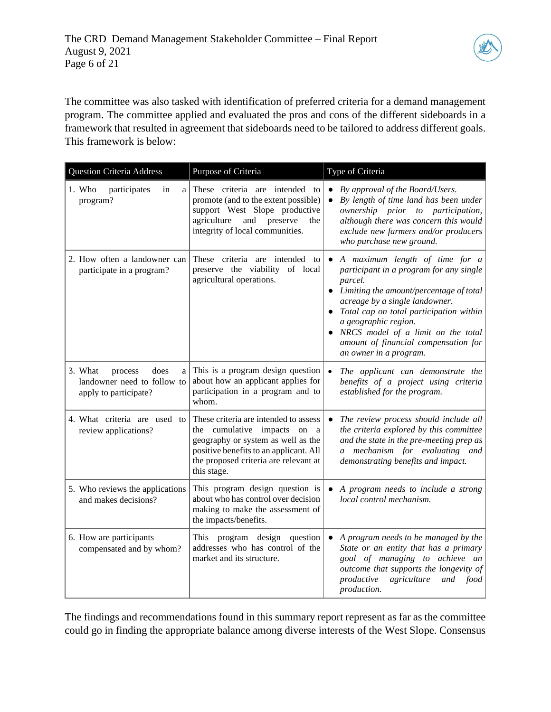

The committee was also tasked with identification of preferred criteria for a demand management program. The committee applied and evaluated the pros and cons of the different sideboards in a framework that resulted in agreement that sideboards need to be tailored to address different goals. This framework is below:

| <b>Question Criteria Address</b>                                                        | Purpose of Criteria                                                                                                                                                                                          | Type of Criteria                                                                                                                                                                                                                                                                                                                                   |  |  |
|-----------------------------------------------------------------------------------------|--------------------------------------------------------------------------------------------------------------------------------------------------------------------------------------------------------------|----------------------------------------------------------------------------------------------------------------------------------------------------------------------------------------------------------------------------------------------------------------------------------------------------------------------------------------------------|--|--|
| 1. Who<br>participates<br>in<br>a<br>program?                                           | These criteria are intended to<br>promote (and to the extent possible)<br>support West Slope productive<br>agriculture and preserve<br>the<br>integrity of local communities.                                | By approval of the Board/Users.<br>By length of time land has been under<br>$\bullet$<br>ownership prior to participation,<br>although there was concern this would<br>exclude new farmers and/or producers<br>who purchase new ground.                                                                                                            |  |  |
| 2. How often a landowner can<br>participate in a program?                               | These criteria are intended to<br>preserve the viability of local<br>agricultural operations.                                                                                                                | • A maximum length of time for a<br>participant in a program for any single<br>parcel.<br>• Limiting the amount/percentage of total<br>acreage by a single landowner.<br>• Total cap on total participation within<br>a geographic region.<br>NRCS model of a limit on the total<br>amount of financial compensation for<br>an owner in a program. |  |  |
| 3. What<br>does<br>process<br>a<br>landowner need to follow to<br>apply to participate? | This is a program design question<br>about how an applicant applies for<br>participation in a program and to<br>whom.                                                                                        | The applicant can demonstrate the<br>benefits of a project using criteria<br>established for the program.                                                                                                                                                                                                                                          |  |  |
| 4. What criteria are used to<br>review applications?                                    | These criteria are intended to assess<br>the cumulative impacts on a<br>geography or system as well as the<br>positive benefits to an applicant. All<br>the proposed criteria are relevant at<br>this stage. | The review process should include all<br>the criteria explored by this committee<br>and the state in the pre-meeting prep as<br>a mechanism for evaluating and<br>demonstrating benefits and impact.                                                                                                                                               |  |  |
| 5. Who reviews the applications<br>and makes decisions?                                 | This program design question is<br>about who has control over decision<br>making to make the assessment of<br>the impacts/benefits.                                                                          | A program needs to include a strong<br>local control mechanism.                                                                                                                                                                                                                                                                                    |  |  |
| 6. How are participants<br>compensated and by whom?                                     | This program design question<br>addresses who has control of the<br>market and its structure.                                                                                                                | A program needs to be managed by the<br>$\bullet$<br>State or an entity that has a primary<br>goal of managing to achieve an<br>outcome that supports the longevity of<br>productive<br>agriculture<br>and<br>food<br>production.                                                                                                                  |  |  |

The findings and recommendations found in this summary report represent as far as the committee could go in finding the appropriate balance among diverse interests of the West Slope. Consensus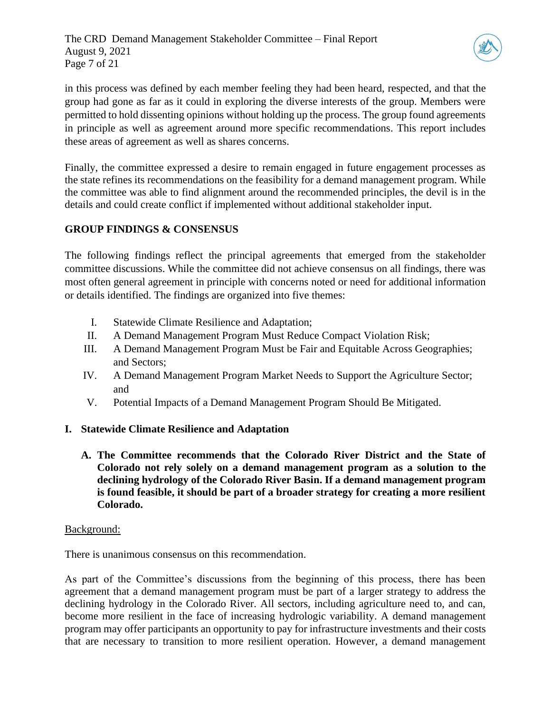

in this process was defined by each member feeling they had been heard, respected, and that the group had gone as far as it could in exploring the diverse interests of the group. Members were permitted to hold dissenting opinions without holding up the process. The group found agreements in principle as well as agreement around more specific recommendations. This report includes these areas of agreement as well as shares concerns.

Finally, the committee expressed a desire to remain engaged in future engagement processes as the state refines its recommendations on the feasibility for a demand management program. While the committee was able to find alignment around the recommended principles, the devil is in the details and could create conflict if implemented without additional stakeholder input.

# **GROUP FINDINGS & CONSENSUS**

The following findings reflect the principal agreements that emerged from the stakeholder committee discussions. While the committee did not achieve consensus on all findings, there was most often general agreement in principle with concerns noted or need for additional information or details identified. The findings are organized into five themes:

- I. Statewide Climate Resilience and Adaptation;
- II. A Demand Management Program Must Reduce Compact Violation Risk;
- III. A Demand Management Program Must be Fair and Equitable Across Geographies; and Sectors;
- IV. A Demand Management Program Market Needs to Support the Agriculture Sector; and
- V. Potential Impacts of a Demand Management Program Should Be Mitigated.

# **I. Statewide Climate Resilience and Adaptation**

**A. The Committee recommends that the Colorado River District and the State of Colorado not rely solely on a demand management program as a solution to the declining hydrology of the Colorado River Basin. If a demand management program is found feasible, it should be part of a broader strategy for creating a more resilient Colorado.**

#### Background:

There is unanimous consensus on this recommendation.

As part of the Committee's discussions from the beginning of this process, there has been agreement that a demand management program must be part of a larger strategy to address the declining hydrology in the Colorado River. All sectors, including agriculture need to, and can, become more resilient in the face of increasing hydrologic variability. A demand management program may offer participants an opportunity to pay for infrastructure investments and their costs that are necessary to transition to more resilient operation. However, a demand management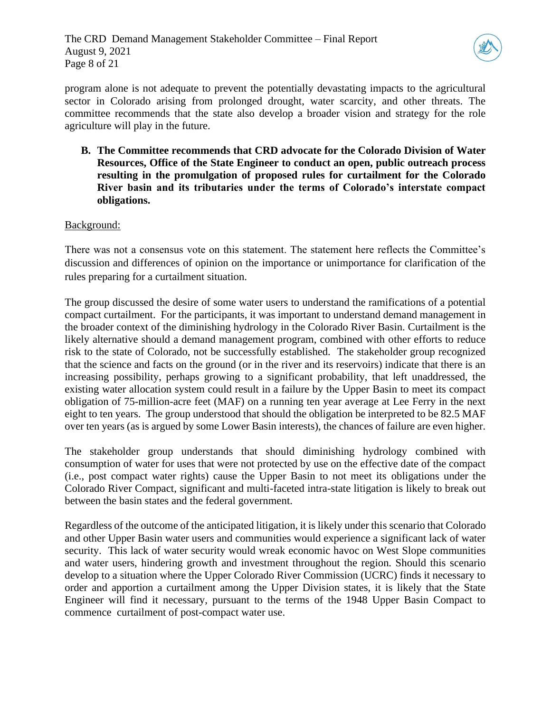

program alone is not adequate to prevent the potentially devastating impacts to the agricultural sector in Colorado arising from prolonged drought, water scarcity, and other threats. The committee recommends that the state also develop a broader vision and strategy for the role agriculture will play in the future.

**B. The Committee recommends that CRD advocate for the Colorado Division of Water Resources, Office of the State Engineer to conduct an open, public outreach process resulting in the promulgation of proposed rules for curtailment for the Colorado River basin and its tributaries under the terms of Colorado's interstate compact obligations.**

#### Background:

There was not a consensus vote on this statement. The statement here reflects the Committee's discussion and differences of opinion on the importance or unimportance for clarification of the rules preparing for a curtailment situation.

The group discussed the desire of some water users to understand the ramifications of a potential compact curtailment. For the participants, it was important to understand demand management in the broader context of the diminishing hydrology in the Colorado River Basin. Curtailment is the likely alternative should a demand management program, combined with other efforts to reduce risk to the state of Colorado, not be successfully established. The stakeholder group recognized that the science and facts on the ground (or in the river and its reservoirs) indicate that there is an increasing possibility, perhaps growing to a significant probability, that left unaddressed, the existing water allocation system could result in a failure by the Upper Basin to meet its compact obligation of 75-million-acre feet (MAF) on a running ten year average at Lee Ferry in the next eight to ten years. The group understood that should the obligation be interpreted to be 82.5 MAF over ten years (as is argued by some Lower Basin interests), the chances of failure are even higher.

The stakeholder group understands that should diminishing hydrology combined with consumption of water for uses that were not protected by use on the effective date of the compact (i.e., post compact water rights) cause the Upper Basin to not meet its obligations under the Colorado River Compact, significant and multi-faceted intra-state litigation is likely to break out between the basin states and the federal government.

Regardless of the outcome of the anticipated litigation, it is likely under this scenario that Colorado and other Upper Basin water users and communities would experience a significant lack of water security. This lack of water security would wreak economic havoc on West Slope communities and water users, hindering growth and investment throughout the region. Should this scenario develop to a situation where the Upper Colorado River Commission (UCRC) finds it necessary to order and apportion a curtailment among the Upper Division states, it is likely that the State Engineer will find it necessary, pursuant to the terms of the 1948 Upper Basin Compact to commence curtailment of post-compact water use.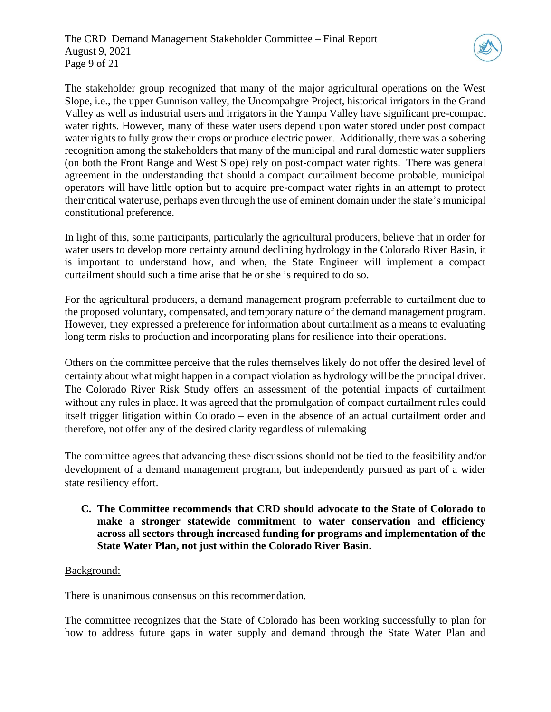

The stakeholder group recognized that many of the major agricultural operations on the West Slope, i.e., the upper Gunnison valley, the Uncompahgre Project, historical irrigators in the Grand Valley as well as industrial users and irrigators in the Yampa Valley have significant pre-compact water rights. However, many of these water users depend upon water stored under post compact water rights to fully grow their crops or produce electric power. Additionally, there was a sobering recognition among the stakeholders that many of the municipal and rural domestic water suppliers (on both the Front Range and West Slope) rely on post-compact water rights. There was general agreement in the understanding that should a compact curtailment become probable, municipal operators will have little option but to acquire pre-compact water rights in an attempt to protect their critical water use, perhaps even through the use of eminent domain under the state's municipal constitutional preference.

In light of this, some participants, particularly the agricultural producers, believe that in order for water users to develop more certainty around declining hydrology in the Colorado River Basin, it is important to understand how, and when, the State Engineer will implement a compact curtailment should such a time arise that he or she is required to do so.

For the agricultural producers, a demand management program preferrable to curtailment due to the proposed voluntary, compensated, and temporary nature of the demand management program. However, they expressed a preference for information about curtailment as a means to evaluating long term risks to production and incorporating plans for resilience into their operations.

Others on the committee perceive that the rules themselves likely do not offer the desired level of certainty about what might happen in a compact violation as hydrology will be the principal driver. The Colorado River Risk Study offers an assessment of the potential impacts of curtailment without any rules in place. It was agreed that the promulgation of compact curtailment rules could itself trigger litigation within Colorado – even in the absence of an actual curtailment order and therefore, not offer any of the desired clarity regardless of rulemaking

The committee agrees that advancing these discussions should not be tied to the feasibility and/or development of a demand management program, but independently pursued as part of a wider state resiliency effort.

# **C. The Committee recommends that CRD should advocate to the State of Colorado to make a stronger statewide commitment to water conservation and efficiency across all sectors through increased funding for programs and implementation of the State Water Plan, not just within the Colorado River Basin.**

# Background:

There is unanimous consensus on this recommendation.

The committee recognizes that the State of Colorado has been working successfully to plan for how to address future gaps in water supply and demand through the State Water Plan and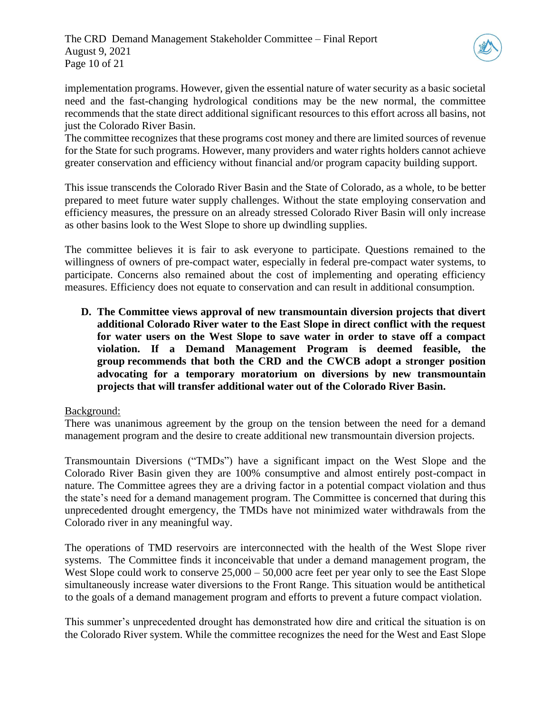The CRD Demand Management Stakeholder Committee – Final Report August 9, 2021 Page 10 of 21



implementation programs. However, given the essential nature of water security as a basic societal need and the fast-changing hydrological conditions may be the new normal, the committee recommends that the state direct additional significant resources to this effort across all basins, not just the Colorado River Basin.

The committee recognizes that these programs cost money and there are limited sources of revenue for the State for such programs. However, many providers and water rights holders cannot achieve greater conservation and efficiency without financial and/or program capacity building support.

This issue transcends the Colorado River Basin and the State of Colorado, as a whole, to be better prepared to meet future water supply challenges. Without the state employing conservation and efficiency measures, the pressure on an already stressed Colorado River Basin will only increase as other basins look to the West Slope to shore up dwindling supplies.

The committee believes it is fair to ask everyone to participate. Questions remained to the willingness of owners of pre-compact water, especially in federal pre-compact water systems, to participate. Concerns also remained about the cost of implementing and operating efficiency measures. Efficiency does not equate to conservation and can result in additional consumption.

**D. The Committee views approval of new transmountain diversion projects that divert additional Colorado River water to the East Slope in direct conflict with the request for water users on the West Slope to save water in order to stave off a compact violation. If a Demand Management Program is deemed feasible, the group recommends that both the CRD and the CWCB adopt a stronger position advocating for a temporary moratorium on diversions by new transmountain projects that will transfer additional water out of the Colorado River Basin.** 

#### Background:

There was unanimous agreement by the group on the tension between the need for a demand management program and the desire to create additional new transmountain diversion projects.

Transmountain Diversions ("TMDs") have a significant impact on the West Slope and the Colorado River Basin given they are 100% consumptive and almost entirely post-compact in nature. The Committee agrees they are a driving factor in a potential compact violation and thus the state's need for a demand management program. The Committee is concerned that during this unprecedented drought emergency, the TMDs have not minimized water withdrawals from the Colorado river in any meaningful way.

The operations of TMD reservoirs are interconnected with the health of the West Slope river systems. The Committee finds it inconceivable that under a demand management program, the West Slope could work to conserve  $25,000 - 50,000$  acre feet per year only to see the East Slope simultaneously increase water diversions to the Front Range. This situation would be antithetical to the goals of a demand management program and efforts to prevent a future compact violation.

This summer's unprecedented drought has demonstrated how dire and critical the situation is on the Colorado River system. While the committee recognizes the need for the West and East Slope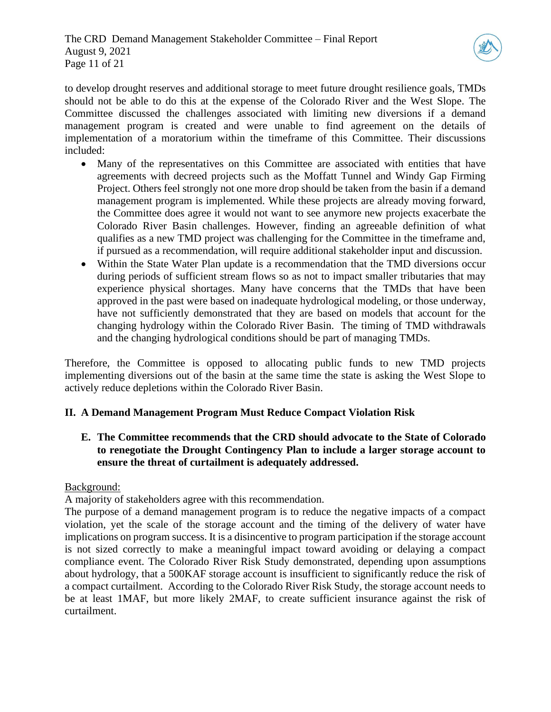

to develop drought reserves and additional storage to meet future drought resilience goals, TMDs should not be able to do this at the expense of the Colorado River and the West Slope. The Committee discussed the challenges associated with limiting new diversions if a demand management program is created and were unable to find agreement on the details of implementation of a moratorium within the timeframe of this Committee. Their discussions included:

- Many of the representatives on this Committee are associated with entities that have agreements with decreed projects such as the Moffatt Tunnel and Windy Gap Firming Project. Others feel strongly not one more drop should be taken from the basin if a demand management program is implemented. While these projects are already moving forward, the Committee does agree it would not want to see anymore new projects exacerbate the Colorado River Basin challenges. However, finding an agreeable definition of what qualifies as a new TMD project was challenging for the Committee in the timeframe and, if pursued as a recommendation, will require additional stakeholder input and discussion.
- Within the State Water Plan update is a recommendation that the TMD diversions occur during periods of sufficient stream flows so as not to impact smaller tributaries that may experience physical shortages. Many have concerns that the TMDs that have been approved in the past were based on inadequate hydrological modeling, or those underway, have not sufficiently demonstrated that they are based on models that account for the changing hydrology within the Colorado River Basin. The timing of TMD withdrawals and the changing hydrological conditions should be part of managing TMDs.

Therefore, the Committee is opposed to allocating public funds to new TMD projects implementing diversions out of the basin at the same time the state is asking the West Slope to actively reduce depletions within the Colorado River Basin.

# **II. A Demand Management Program Must Reduce Compact Violation Risk**

**E. The Committee recommends that the CRD should advocate to the State of Colorado to renegotiate the Drought Contingency Plan to include a larger storage account to ensure the threat of curtailment is adequately addressed.** 

#### Background:

A majority of stakeholders agree with this recommendation.

The purpose of a demand management program is to reduce the negative impacts of a compact violation, yet the scale of the storage account and the timing of the delivery of water have implications on program success. It is a disincentive to program participation if the storage account is not sized correctly to make a meaningful impact toward avoiding or delaying a compact compliance event. The Colorado River Risk Study demonstrated, depending upon assumptions about hydrology, that a 500KAF storage account is insufficient to significantly reduce the risk of a compact curtailment. According to the Colorado River Risk Study, the storage account needs to be at least 1MAF, but more likely 2MAF, to create sufficient insurance against the risk of curtailment.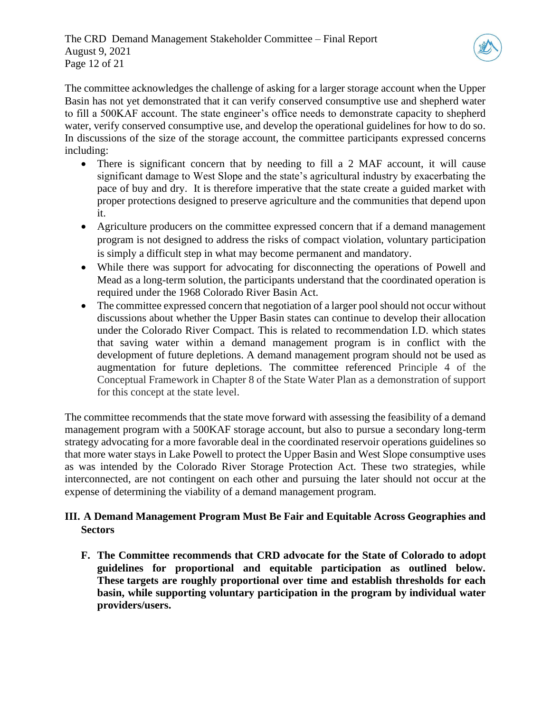

The committee acknowledges the challenge of asking for a larger storage account when the Upper Basin has not yet demonstrated that it can verify conserved consumptive use and shepherd water to fill a 500KAF account. The state engineer's office needs to demonstrate capacity to shepherd water, verify conserved consumptive use, and develop the operational guidelines for how to do so. In discussions of the size of the storage account, the committee participants expressed concerns including:

- There is significant concern that by needing to fill a 2 MAF account, it will cause significant damage to West Slope and the state's agricultural industry by exacerbating the pace of buy and dry. It is therefore imperative that the state create a guided market with proper protections designed to preserve agriculture and the communities that depend upon it.
- Agriculture producers on the committee expressed concern that if a demand management program is not designed to address the risks of compact violation, voluntary participation is simply a difficult step in what may become permanent and mandatory.
- While there was support for advocating for disconnecting the operations of Powell and Mead as a long-term solution, the participants understand that the coordinated operation is required under the 1968 Colorado River Basin Act.
- The committee expressed concern that negotiation of a larger pool should not occur without discussions about whether the Upper Basin states can continue to develop their allocation under the Colorado River Compact. This is related to recommendation I.D. which states that saving water within a demand management program is in conflict with the development of future depletions. A demand management program should not be used as augmentation for future depletions. The committee referenced Principle 4 of the Conceptual Framework in Chapter 8 of the State Water Plan as a demonstration of support for this concept at the state level.

The committee recommends that the state move forward with assessing the feasibility of a demand management program with a 500KAF storage account, but also to pursue a secondary long-term strategy advocating for a more favorable deal in the coordinated reservoir operations guidelines so that more water stays in Lake Powell to protect the Upper Basin and West Slope consumptive uses as was intended by the Colorado River Storage Protection Act. These two strategies, while interconnected, are not contingent on each other and pursuing the later should not occur at the expense of determining the viability of a demand management program.

# **III. A Demand Management Program Must Be Fair and Equitable Across Geographies and Sectors**

**F. The Committee recommends that CRD advocate for the State of Colorado to adopt guidelines for proportional and equitable participation as outlined below. These targets are roughly proportional over time and establish thresholds for each basin, while supporting voluntary participation in the program by individual water providers/users.**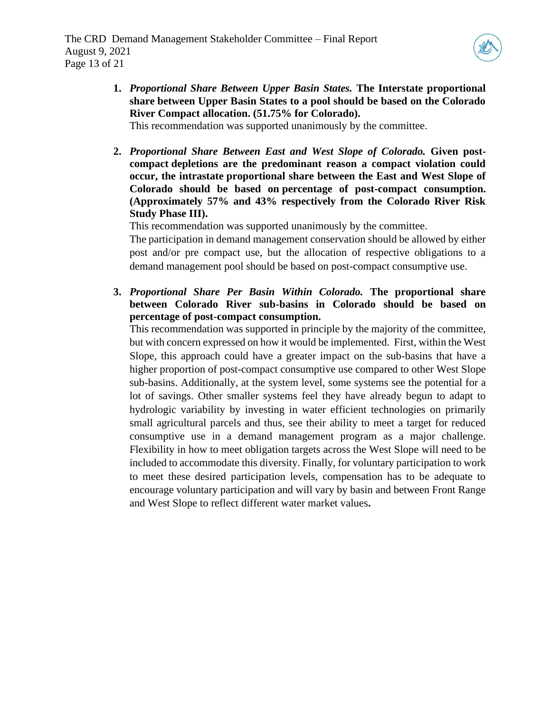

**1.** *Proportional Share Between Upper Basin States.* **The Interstate proportional share between Upper Basin States to a pool should be based on the Colorado River Compact allocation. (51.75% for Colorado).** 

This recommendation was supported unanimously by the committee.

**2.** *Proportional Share Between East and West Slope of Colorado.* **Given postcompact depletions are the predominant reason a compact violation could occur, the intrastate proportional share between the East and West Slope of Colorado should be based on percentage of post-compact consumption. (Approximately 57% and 43% respectively from the Colorado River Risk Study Phase III).**

This recommendation was supported unanimously by the committee.

The participation in demand management conservation should be allowed by either post and/or pre compact use, but the allocation of respective obligations to a demand management pool should be based on post-compact consumptive use.

**3.** *Proportional Share Per Basin Within Colorado.* **The proportional share between Colorado River sub-basins in Colorado should be based on percentage of post-compact consumption.** 

This recommendation was supported in principle by the majority of the committee, but with concern expressed on how it would be implemented. First, within the West Slope, this approach could have a greater impact on the sub-basins that have a higher proportion of post-compact consumptive use compared to other West Slope sub-basins. Additionally, at the system level, some systems see the potential for a lot of savings. Other smaller systems feel they have already begun to adapt to hydrologic variability by investing in water efficient technologies on primarily small agricultural parcels and thus, see their ability to meet a target for reduced consumptive use in a demand management program as a major challenge. Flexibility in how to meet obligation targets across the West Slope will need to be included to accommodate this diversity. Finally, for voluntary participation to work to meet these desired participation levels, compensation has to be adequate to encourage voluntary participation and will vary by basin and between Front Range and West Slope to reflect different water market values**.**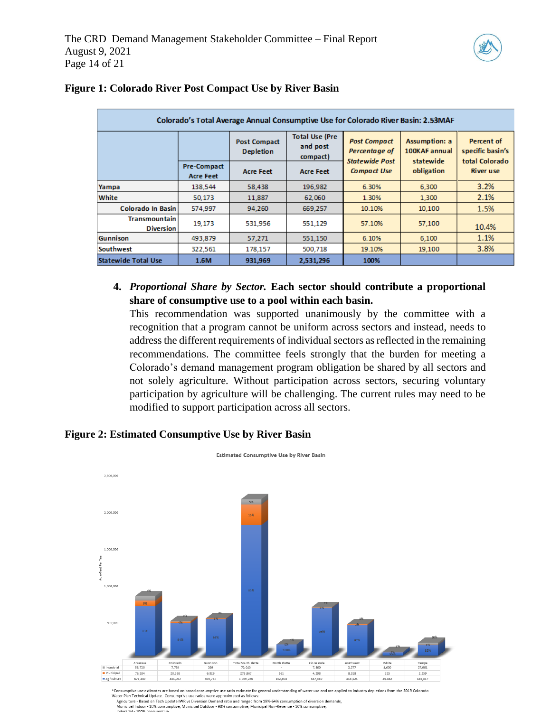

| Colorado's Total Average Annual Consumptive Use for Colorado River Basin: 2.53MAF |                                        |                                         |                                               |                                                               |                                             |                                                  |  |  |  |
|-----------------------------------------------------------------------------------|----------------------------------------|-----------------------------------------|-----------------------------------------------|---------------------------------------------------------------|---------------------------------------------|--------------------------------------------------|--|--|--|
|                                                                                   |                                        | <b>Post Compact</b><br><b>Depletion</b> | <b>Total Use (Pre</b><br>and post<br>compact) | <b>Post Compact</b><br>Percentage of<br><b>Statewide Post</b> | Assumption: a<br>100KAF annual<br>statewide | Percent of<br>specific basin's<br>total Colorado |  |  |  |
|                                                                                   | <b>Pre-Compact</b><br><b>Acre Feet</b> | <b>Acre Feet</b>                        | <b>Acre Feet</b>                              | <b>Compact Use</b>                                            | obligation                                  | <b>River use</b>                                 |  |  |  |
| Yampa                                                                             | 138,544                                | 58,438                                  | 196,982                                       | 6.30%                                                         | 6,300                                       | 3.2%                                             |  |  |  |
| White                                                                             | 50.173                                 | 11,887                                  | 62,060                                        | 1.30%                                                         | 1,300                                       | 2.1%                                             |  |  |  |
| Colorado In Basin                                                                 | 574,997                                | 94,260                                  | 669,257                                       | 10.10%                                                        | 10,100                                      | 1.5%                                             |  |  |  |
| <b>Transmountain</b><br><b>Diversion</b>                                          | 19.173                                 | 531.956                                 | 551.129                                       | 57.10%                                                        | 57,100                                      | 10.4%                                            |  |  |  |
| <b>Gunnison</b>                                                                   | 493.879                                | 57.271                                  | 551.150                                       | 6.10%                                                         | 6,100                                       | 1.1%                                             |  |  |  |
| Southwest                                                                         | 322,561                                | 178,157                                 | 500,718                                       | 19.10%                                                        | 19,100                                      | 3.8%                                             |  |  |  |
| <b>Statewide Total Use</b>                                                        | 1.6M                                   | 931,969                                 | 2,531,296                                     | 100%                                                          |                                             |                                                  |  |  |  |

# **Figure 1: Colorado River Post Compact Use by River Basin**

**4.** *Proportional Share by Sector.* **Each sector should contribute a proportional share of consumptive use to a pool within each basin.** 

This recommendation was supported unanimously by the committee with a recognition that a program cannot be uniform across sectors and instead, needs to address the different requirements of individual sectors as reflected in the remaining recommendations. The committee feels strongly that the burden for meeting a Colorado's demand management program obligation be shared by all sectors and not solely agriculture. Without participation across sectors, securing voluntary participation by agriculture will be challenging. The current rules may need to be modified to support participation across all sectors.

# **Figure 2: [Estimated Consumptive Use by River Basin](https://drive.google.com/file/d/1xVw79MCYfCgqAivQqVpImdY1uij7yQcG/view?usp=sharing)**



- and Agriculture - Based on Tech Update IWR vs Diversion Demand ratio and ranged from 19%-64% consumption of diversion demands,<br>Municipal Indoor - 10% consumptive, Municipal Outdoor - 90% consumptive, Municipal Non-Revenu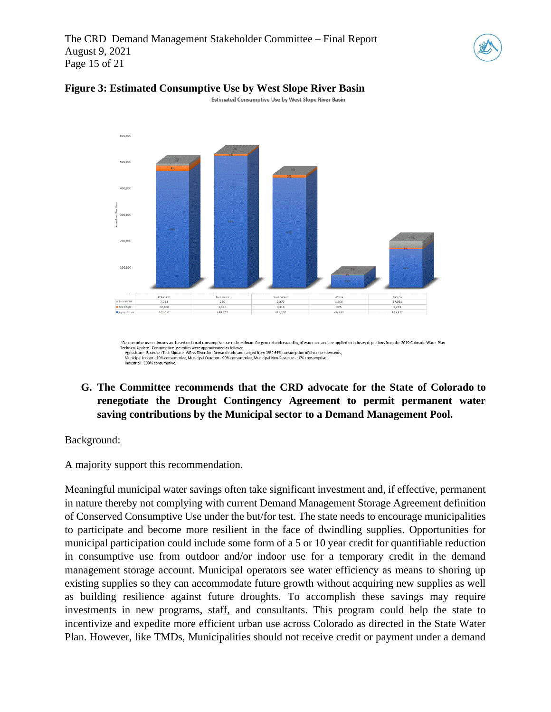The CRD Demand Management Stakeholder Committee – Final Report August 9, 2021 Page 15 of 21





# **Figure 3: [Estimated Consumptive Use by West Slope River Basin](https://drive.google.com/file/d/15Zm-xJ9oucmw304kCvLpgFc1twFnSNi0/view?usp=sharing)**

Estimated Consumptive Use by West Slope River Basin

**G. The Committee recommends that the CRD advocate for the State of Colorado to renegotiate the Drought Contingency Agreement to permit permanent water saving contributions by the Municipal sector to a Demand Management Pool.**

#### Background:

A majority support this recommendation.

Meaningful municipal water savings often take significant investment and, if effective, permanent in nature thereby not complying with current Demand Management Storage Agreement definition of Conserved Consumptive Use under the but/for test. The state needs to encourage municipalities to participate and become more resilient in the face of dwindling supplies. Opportunities for municipal participation could include some form of a 5 or 10 year credit for quantifiable reduction in consumptive use from outdoor and/or indoor use for a temporary credit in the demand management storage account. Municipal operators see water efficiency as means to shoring up existing supplies so they can accommodate future growth without acquiring new supplies as well as building resilience against future droughts. To accomplish these savings may require investments in new programs, staff, and consultants. This program could help the state to incentivize and expedite more efficient urban use across Colorado as directed in the State Water Plan. However, like TMDs, Municipalities should not receive credit or payment under a demand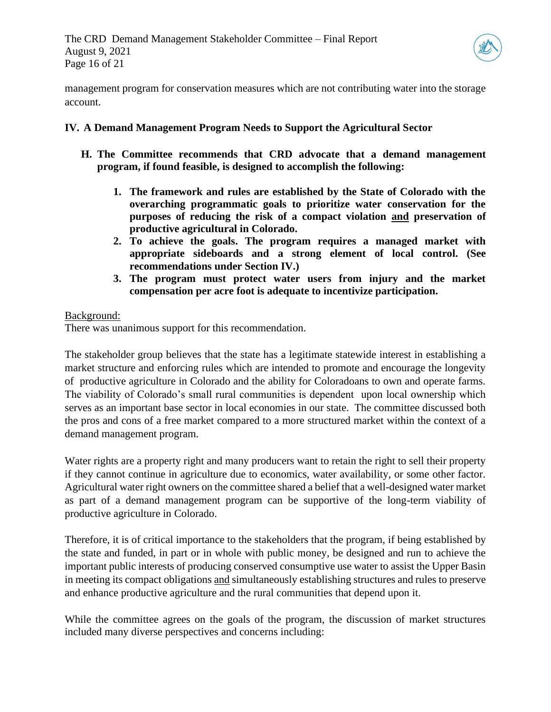

management program for conservation measures which are not contributing water into the storage account.

# **IV. A Demand Management Program Needs to Support the Agricultural Sector**

- **H. The Committee recommends that CRD advocate that a demand management program, if found feasible, is designed to accomplish the following:**
	- **1. The framework and rules are established by the State of Colorado with the overarching programmatic goals to prioritize water conservation for the purposes of reducing the risk of a compact violation and preservation of productive agricultural in Colorado.**
	- **2. To achieve the goals. The program requires a managed market with appropriate sideboards and a strong element of local control. (See recommendations under Section IV.)**
	- **3. The program must protect water users from injury and the market compensation per acre foot is adequate to incentivize participation.**

# Background:

There was unanimous support for this recommendation.

The stakeholder group believes that the state has a legitimate statewide interest in establishing a market structure and enforcing rules which are intended to promote and encourage the longevity of productive agriculture in Colorado and the ability for Coloradoans to own and operate farms. The viability of Colorado's small rural communities is dependent upon local ownership which serves as an important base sector in local economies in our state. The committee discussed both the pros and cons of a free market compared to a more structured market within the context of a demand management program.

Water rights are a property right and many producers want to retain the right to sell their property if they cannot continue in agriculture due to economics, water availability, or some other factor. Agricultural water right owners on the committee shared a belief that a well-designed water market as part of a demand management program can be supportive of the long-term viability of productive agriculture in Colorado.

Therefore, it is of critical importance to the stakeholders that the program, if being established by the state and funded, in part or in whole with public money, be designed and run to achieve the important public interests of producing conserved consumptive use water to assist the Upper Basin in meeting its compact obligations and simultaneously establishing structures and rules to preserve and enhance productive agriculture and the rural communities that depend upon it.

While the committee agrees on the goals of the program, the discussion of market structures included many diverse perspectives and concerns including: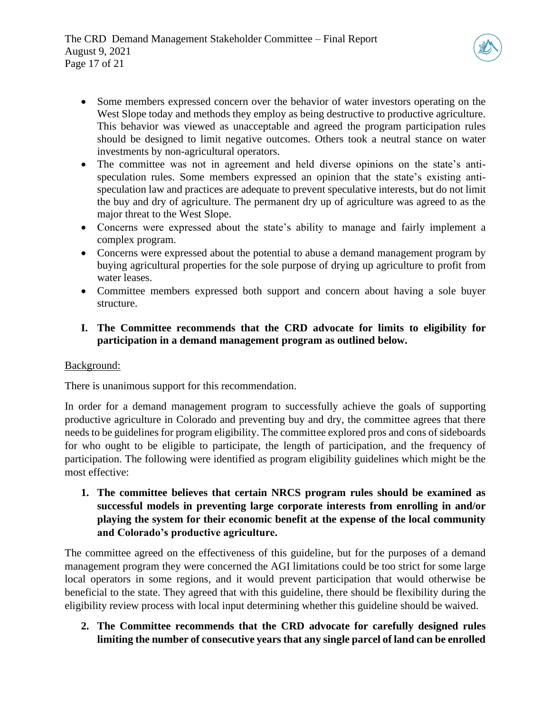

- Some members expressed concern over the behavior of water investors operating on the West Slope today and methods they employ as being destructive to productive agriculture. This behavior was viewed as unacceptable and agreed the program participation rules should be designed to limit negative outcomes. Others took a neutral stance on water investments by non-agricultural operators.
- The committee was not in agreement and held diverse opinions on the state's antispeculation rules. Some members expressed an opinion that the state's existing antispeculation law and practices are adequate to prevent speculative interests, but do not limit the buy and dry of agriculture. The permanent dry up of agriculture was agreed to as the major threat to the West Slope.
- Concerns were expressed about the state's ability to manage and fairly implement a complex program.
- Concerns were expressed about the potential to abuse a demand management program by buying agricultural properties for the sole purpose of drying up agriculture to profit from water leases.
- Committee members expressed both support and concern about having a sole buyer structure.
- **I. The Committee recommends that the CRD advocate for limits to eligibility for participation in a demand management program as outlined below.**

# Background:

There is unanimous support for this recommendation.

In order for a demand management program to successfully achieve the goals of supporting productive agriculture in Colorado and preventing buy and dry, the committee agrees that there needs to be guidelines for program eligibility. The committee explored pros and cons of sideboards for who ought to be eligible to participate, the length of participation, and the frequency of participation. The following were identified as program eligibility guidelines which might be the most effective:

**1. The committee believes that certain NRCS program rules should be examined as successful models in preventing large corporate interests from enrolling in and/or playing the system for their economic benefit at the expense of the local community and Colorado's productive agriculture.** 

The committee agreed on the effectiveness of this guideline, but for the purposes of a demand management program they were concerned the AGI limitations could be too strict for some large local operators in some regions, and it would prevent participation that would otherwise be beneficial to the state. They agreed that with this guideline, there should be flexibility during the eligibility review process with local input determining whether this guideline should be waived.

**2. The Committee recommends that the CRD advocate for carefully designed rules limiting the number of consecutive years that any single parcel of land can be enrolled**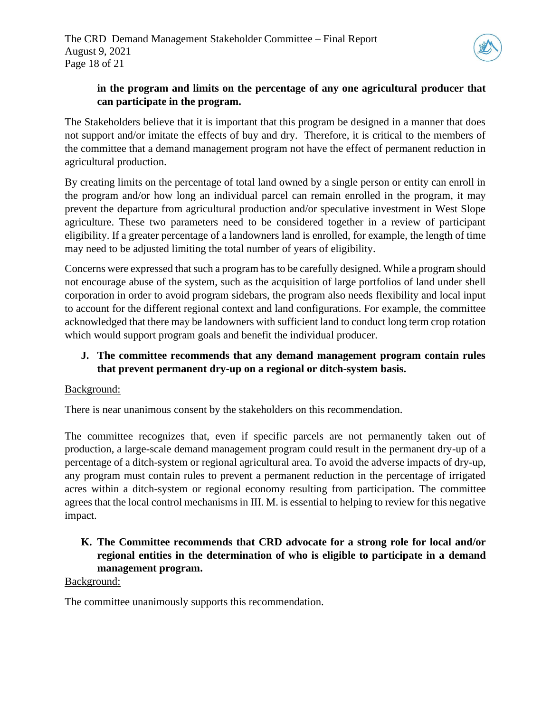

# **in the program and limits on the percentage of any one agricultural producer that can participate in the program.**

The Stakeholders believe that it is important that this program be designed in a manner that does not support and/or imitate the effects of buy and dry. Therefore, it is critical to the members of the committee that a demand management program not have the effect of permanent reduction in agricultural production.

By creating limits on the percentage of total land owned by a single person or entity can enroll in the program and/or how long an individual parcel can remain enrolled in the program, it may prevent the departure from agricultural production and/or speculative investment in West Slope agriculture. These two parameters need to be considered together in a review of participant eligibility. If a greater percentage of a landowners land is enrolled, for example, the length of time may need to be adjusted limiting the total number of years of eligibility.

Concerns were expressed that such a program has to be carefully designed. While a program should not encourage abuse of the system, such as the acquisition of large portfolios of land under shell corporation in order to avoid program sidebars, the program also needs flexibility and local input to account for the different regional context and land configurations. For example, the committee acknowledged that there may be landowners with sufficient land to conduct long term crop rotation which would support program goals and benefit the individual producer.

# **J. The committee recommends that any demand management program contain rules that prevent permanent dry-up on a regional or ditch-system basis.**

# Background:

There is near unanimous consent by the stakeholders on this recommendation.

The committee recognizes that, even if specific parcels are not permanently taken out of production, a large-scale demand management program could result in the permanent dry-up of a percentage of a ditch-system or regional agricultural area. To avoid the adverse impacts of dry-up, any program must contain rules to prevent a permanent reduction in the percentage of irrigated acres within a ditch-system or regional economy resulting from participation. The committee agrees that the local control mechanisms in III. M. is essential to helping to review for this negative impact.

# **K. The Committee recommends that CRD advocate for a strong role for local and/or regional entities in the determination of who is eligible to participate in a demand management program.**

# Background:

The committee unanimously supports this recommendation.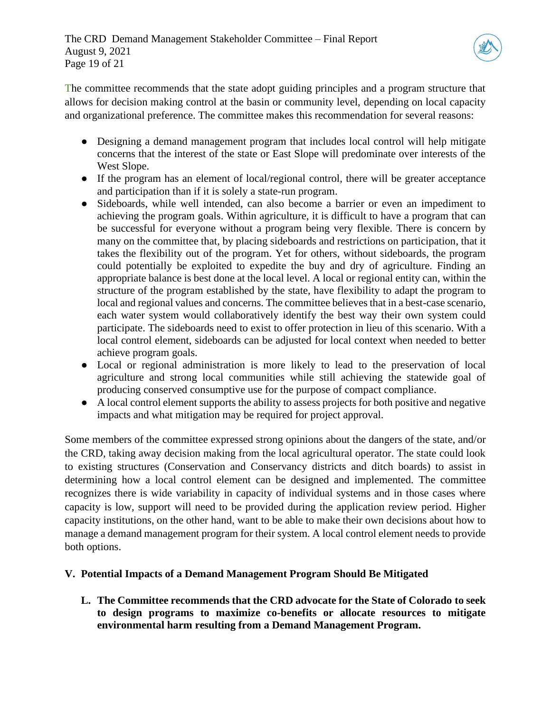

The committee recommends that the state adopt guiding principles and a program structure that allows for decision making control at the basin or community level, depending on local capacity and organizational preference. The committee makes this recommendation for several reasons:

- Designing a demand management program that includes local control will help mitigate concerns that the interest of the state or East Slope will predominate over interests of the West Slope.
- If the program has an element of local/regional control, there will be greater acceptance and participation than if it is solely a state-run program.
- Sideboards, while well intended, can also become a barrier or even an impediment to achieving the program goals. Within agriculture, it is difficult to have a program that can be successful for everyone without a program being very flexible. There is concern by many on the committee that, by placing sideboards and restrictions on participation, that it takes the flexibility out of the program. Yet for others, without sideboards, the program could potentially be exploited to expedite the buy and dry of agriculture. Finding an appropriate balance is best done at the local level. A local or regional entity can, within the structure of the program established by the state, have flexibility to adapt the program to local and regional values and concerns. The committee believes that in a best-case scenario, each water system would collaboratively identify the best way their own system could participate. The sideboards need to exist to offer protection in lieu of this scenario. With a local control element, sideboards can be adjusted for local context when needed to better achieve program goals.
- Local or regional administration is more likely to lead to the preservation of local agriculture and strong local communities while still achieving the statewide goal of producing conserved consumptive use for the purpose of compact compliance.
- A local control element supports the ability to assess projects for both positive and negative impacts and what mitigation may be required for project approval.

Some members of the committee expressed strong opinions about the dangers of the state, and/or the CRD, taking away decision making from the local agricultural operator. The state could look to existing structures (Conservation and Conservancy districts and ditch boards) to assist in determining how a local control element can be designed and implemented. The committee recognizes there is wide variability in capacity of individual systems and in those cases where capacity is low, support will need to be provided during the application review period. Higher capacity institutions, on the other hand, want to be able to make their own decisions about how to manage a demand management program for their system. A local control element needs to provide both options.

# **V. Potential Impacts of a Demand Management Program Should Be Mitigated**

**L. The Committee recommends that the CRD advocate for the State of Colorado to seek to design programs to maximize co-benefits or allocate resources to mitigate environmental harm resulting from a Demand Management Program.**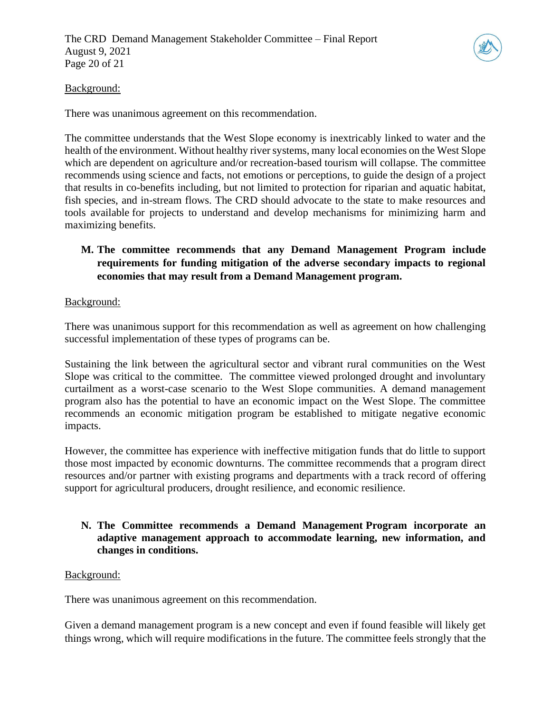

### Background:

There was unanimous agreement on this recommendation.

The committee understands that the West Slope economy is inextricably linked to water and the health of the environment. Without healthy river systems, many local economies on the West Slope which are dependent on agriculture and/or recreation-based tourism will collapse. The committee recommends using science and facts, not emotions or perceptions, to guide the design of a project that results in co-benefits including, but not limited to protection for riparian and aquatic habitat, fish species, and in-stream flows. The CRD should advocate to the state to make resources and tools available for projects to understand and develop mechanisms for minimizing harm and maximizing benefits.

# **M. The committee recommends that any Demand Management Program include requirements for funding mitigation of the adverse secondary impacts to regional economies that may result from a Demand Management program.**

#### Background:

There was unanimous support for this recommendation as well as agreement on how challenging successful implementation of these types of programs can be.

Sustaining the link between the agricultural sector and vibrant rural communities on the West Slope was critical to the committee. The committee viewed prolonged drought and involuntary curtailment as a worst-case scenario to the West Slope communities. A demand management program also has the potential to have an economic impact on the West Slope. The committee recommends an economic mitigation program be established to mitigate negative economic impacts.

However, the committee has experience with ineffective mitigation funds that do little to support those most impacted by economic downturns. The committee recommends that a program direct resources and/or partner with existing programs and departments with a track record of offering support for agricultural producers, drought resilience, and economic resilience.

# **N. The Committee recommends a Demand Management Program incorporate an adaptive management approach to accommodate learning, new information, and changes in conditions.**

#### Background:

There was unanimous agreement on this recommendation.

Given a demand management program is a new concept and even if found feasible will likely get things wrong, which will require modifications in the future. The committee feels strongly that the